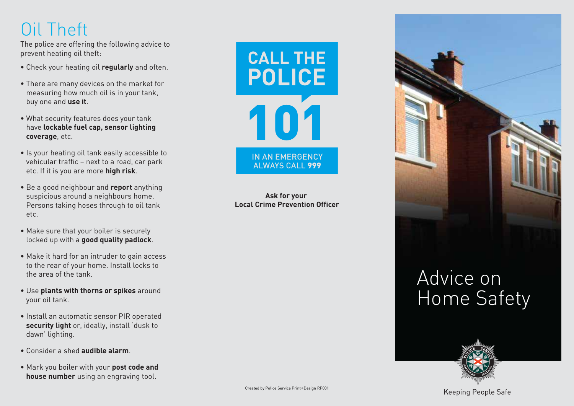### Oil Theft

The police are offering the following advice to p r e vent heating oil theft:

- Check your heating oil **regular l y** and of ten.
- There are many devices on the market for measuring h ow much oil is in your tank, buy one and **use it** .
- What security featu res does your tank ha ve **lockab le fuel cap, sensor lighting cov e rage**, e tc.
- Is your heating oil tank easily accessible to vehicular t raffic – n ext to a road, car park e tc. If it is you a re mo re **high risk**.
- Be a good neighbour and **report** anything suspicious a round a neighbou rs home. Persons taking hoses through to oil tank e tc.
- Make sure that your boiler is securely loc ked up with a **good quality pad lock**.
- Make it hard for an intruder to gain access to the rear of your home. In s tall locks to the a rea of the tank.
- **Use plants with thorns or spikes** around your oil tank.
- Install an automatic sensor PIR operated **security light** or, ideally, install 'dusk to dawn' lighting.
- Consider a shed **audib le alarm**.
- **•** Mark you boiler with your post code and house number using an engraving tool.



**Ask for your Local Crime Prevention Officer** 



# Advi ce on Home Sa fety



Keeping People Safe